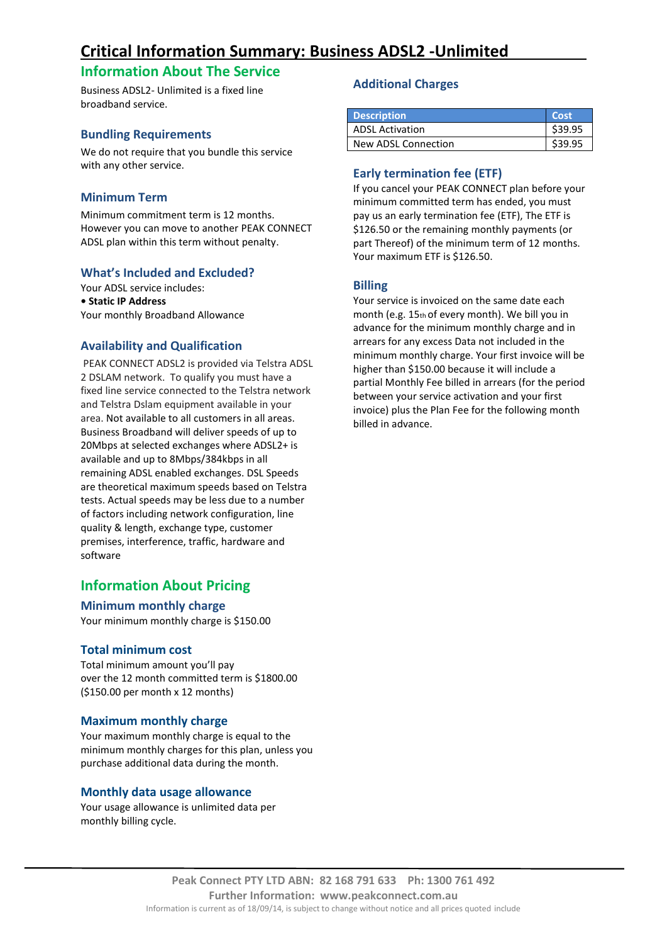# **Critical Information Summary: Business ADSL2 -Unlimited**

# **Information About The Service**

Business ADSL2- Unlimited is a fixed line broadband service.

### **Bundling Requirements**

We do not require that you bundle this service with any other service.

# **Minimum Term**

Minimum commitment term is 12 months. However you can move to another PEAK CONNECT ADSL plan within this term without penalty.

### **What's Included and Excluded?**

Your ADSL service includes: **• Static IP Address** Your monthly Broadband Allowance

# **Availability and Qualification**

PEAK CONNECT ADSL2 is provided via Telstra ADSL 2 DSLAM network. To qualify you must have a fixed line service connected to the Telstra network and Telstra Dslam equipment available in your area. Not available to all customers in all areas. Business Broadband will deliver speeds of up to 20Mbps at selected exchanges where ADSL2+ is available and up to 8Mbps/384kbps in all remaining ADSL enabled exchanges. DSL Speeds are theoretical maximum speeds based on Telstra tests. Actual speeds may be less due to a number of factors including network configuration, line quality & length, exchange type, customer premises, interference, traffic, hardware and software

# **Information About Pricing**

#### **Minimum monthly charge**

Your minimum monthly charge is \$150.00

#### **Total minimum cost**

Total minimum amount you'll pay over the 12 month committed term is \$1800.00 (\$150.00 per month x 12 months)

#### **Maximum monthly charge**

Your maximum monthly charge is equal to the minimum monthly charges for this plan, unless you purchase additional data during the month.

#### **Monthly data usage allowance**

Your usage allowance is unlimited data per monthly billing cycle.

### **Additional Charges**

| <b>Description</b>     | Cost'   |
|------------------------|---------|
| <b>ADSL Activation</b> | \$39.95 |
| New ADSL Connection    |         |

# **Early termination fee (ETF)**

If you cancel your PEAK CONNECT plan before your minimum committed term has ended, you must pay us an early termination fee (ETF), The ETF is \$126.50 or the remaining monthly payments (or part Thereof) of the minimum term of 12 months. Your maximum ETF is \$126.50.

# **Billing**

Your service is invoiced on the same date each month (e.g. 15th of every month). We bill you in advance for the minimum monthly charge and in arrears for any excess Data not included in the minimum monthly charge. Your first invoice will be higher than \$150.00 because it will include a partial Monthly Fee billed in arrears (for the period between your service activation and your first invoice) plus the Plan Fee for the following month billed in advance.